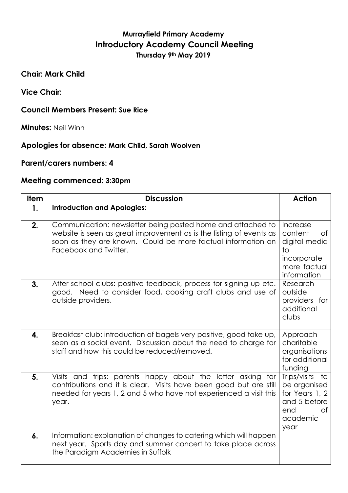## **Murrayfield Primary Academy Introductory Academy Council Meeting Thursday 9th May 2019**

**Chair: Mark Child**

**Vice Chair:**

## **Council Members Present: Sue Rice**

**Minutes:** Neil Winn

## **Apologies for absence: Mark Child, Sarah Woolven**

**Parent/carers numbers: 4**

## **Meeting commenced: 3:30pm**

| <b>Item</b>    | <b>Discussion</b>                                                                                                                                                                                                           | <b>Action</b>                                                                                                |
|----------------|-----------------------------------------------------------------------------------------------------------------------------------------------------------------------------------------------------------------------------|--------------------------------------------------------------------------------------------------------------|
| $\mathbf{1}$ . | <b>Introduction and Apologies:</b>                                                                                                                                                                                          |                                                                                                              |
| 2.             | Communication: newsletter being posted home and attached to<br>website is seen as great improvement as is the listing of events as<br>soon as they are known. Could be more factual information on<br>Facebook and Twitter. | Increase<br>content<br>0f<br>digital media<br>to<br>incorporate<br>more factual<br>information               |
| 3.             | After school clubs: positive feedback, process for signing up etc.<br>good. Need to consider food, cooking craft clubs and use of<br>outside providers.                                                                     | Research<br>outside<br>providers for<br>additional<br>clubs                                                  |
| 4.             | Breakfast club: introduction of bagels very positive, good take up,<br>seen as a social event. Discussion about the need to charge for<br>staff and how this could be reduced/removed.                                      | Approach<br>charitable<br>organisations<br>for additional<br>funding                                         |
| 5.             | Visits and trips: parents happy about the letter asking for<br>contributions and it is clear. Visits have been good but are still<br>needed for years 1, 2 and 5 who have not experienced a visit this<br>year.             | Trips/visits<br>to<br>be organised<br>for Years 1, 2<br>and 5 before<br><b>of</b><br>end<br>academic<br>year |
| 6.             | Information: explanation of changes to catering which will happen<br>next year. Sports day and summer concert to take place across<br>the Paradigm Academies in Suffolk                                                     |                                                                                                              |